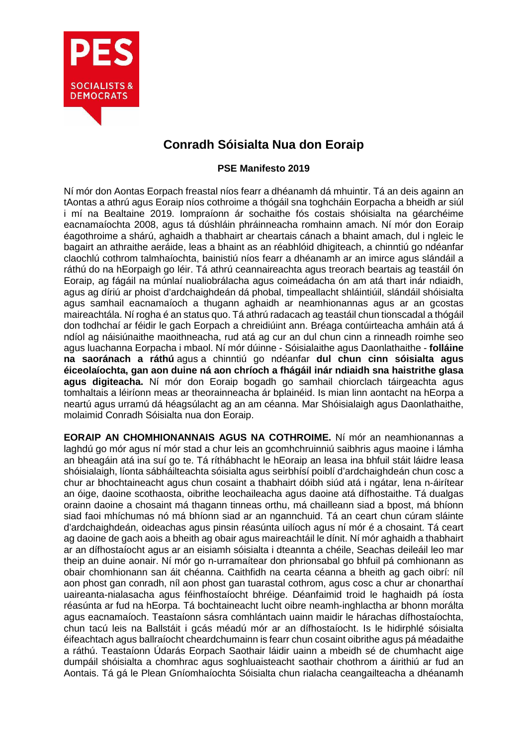

## **Conradh Sóisialta Nua don Eoraip**

## **PSE Manifesto 2019**

Ní mór don Aontas Eorpach freastal níos fearr a dhéanamh dá mhuintir. Tá an deis againn an tAontas a athrú agus Eoraip níos cothroime a thógáil sna toghcháin Eorpacha a bheidh ar siúl i mí na Bealtaine 2019. Iompraíonn ár sochaithe fós costais shóisialta na géarchéime eacnamaíochta 2008, agus tá dúshláin phráinneacha romhainn amach. Ní mór don Eoraip éagothroime a shárú, aghaidh a thabhairt ar cheartais cánach a bhaint amach, dul i ngleic le bagairt an athraithe aeráide, leas a bhaint as an réabhlóid dhigiteach, a chinntiú go ndéanfar claochlú cothrom talmhaíochta, bainistiú níos fearr a dhéanamh ar an imirce agus slándáil a ráthú do na hEorpaigh go léir. Tá athrú ceannaireachta agus treorach beartais ag teastáil ón Eoraip, ag fágáil na múnlaí nualiobrálacha agus coimeádacha ón am atá thart inár ndiaidh, agus ag díriú ar phoist d'ardchaighdeán dá phobal, timpeallacht shláintiúil, slándáil shóisialta agus samhail eacnamaíoch a thugann aghaidh ar neamhionannas agus ar an gcostas maireachtála. Ní rogha é an status quo. Tá athrú radacach ag teastáil chun tionscadal a thógáil don todhchaí ar féidir le gach Eorpach a chreidiúint ann. Bréaga contúirteacha amháin atá á ndíol ag náisiúnaithe maoithneacha, rud atá ag cur an dul chun cinn a rinneadh roimhe seo agus luachanna Eorpacha i mbaol. Ní mór dúinne - Sóisialaithe agus Daonlathaithe - **folláine na saoránach a ráthú** agus a chinntiú go ndéanfar **dul chun cinn sóisialta agus éiceolaíochta, gan aon duine ná aon chríoch a fhágáil inár ndiaidh sna haistrithe glasa agus digiteacha.** Ní mór don Eoraip bogadh go samhail chiorclach táirgeachta agus tomhaltais a léiríonn meas ar theorainneacha ár bplainéid. Is mian linn aontacht na hEorpa a neartú agus urramú dá héagsúlacht ag an am céanna. Mar Shóisialaigh agus Daonlathaithe, molaimid Conradh Sóisialta nua don Eoraip.

**EORAIP AN CHOMHIONANNAIS AGUS NA COTHROIME.** Ní mór an neamhionannas a laghdú go mór agus ní mór stad a chur leis an gcomhchruinniú saibhris agus maoine i lámha an bheagáin atá ina suí go te. Tá ríthábhacht le hEoraip an leasa ina bhfuil stáit láidre leasa shóisialaigh, líonta sábháilteachta sóisialta agus seirbhísí poiblí d'ardchaighdeán chun cosc a chur ar bhochtaineacht agus chun cosaint a thabhairt dóibh siúd atá i ngátar, lena n-áirítear an óige, daoine scothaosta, oibrithe leochaileacha agus daoine atá dífhostaithe. Tá dualgas orainn daoine a chosaint má thagann tinneas orthu, má chailleann siad a bpost, má bhíonn siad faoi mhíchumas nó má bhíonn siad ar an ngannchuid. Tá an ceart chun cúram sláinte d'ardchaighdeán, oideachas agus pinsin réasúnta uilíoch agus ní mór é a chosaint. Tá ceart ag daoine de gach aois a bheith ag obair agus maireachtáil le dínit. Ní mór aghaidh a thabhairt ar an dífhostaíocht agus ar an eisiamh sóisialta i dteannta a chéile, Seachas deileáil leo mar theip an duine aonair. Ní mór go n-urramaítear don phrionsabal go bhfuil pá comhionann as obair chomhionann san áit chéanna. Caithfidh na cearta céanna a bheith ag gach oibrí: níl aon phost gan conradh, níl aon phost gan tuarastal cothrom, agus cosc a chur ar chonarthaí uaireanta-nialasacha agus féinfhostaíocht bhréige. Déanfaimid troid le haghaidh pá íosta réasúnta ar fud na hEorpa. Tá bochtaineacht lucht oibre neamh-inghlactha ar bhonn morálta agus eacnamaíoch. Teastaíonn sásra comhlántach uainn maidir le hárachas dífhostaíochta, chun tacú leis na Ballstáit i gcás méadú mór ar an dífhostaíocht. Is le hidirphlé sóisialta éifeachtach agus ballraíocht cheardchumainn is fearr chun cosaint oibrithe agus pá méadaithe a ráthú. Teastaíonn Údarás Eorpach Saothair láidir uainn a mbeidh sé de chumhacht aige dumpáil shóisialta a chomhrac agus soghluaisteacht saothair chothrom a áirithiú ar fud an Aontais. Tá gá le Plean Gníomhaíochta Sóisialta chun rialacha ceangailteacha a dhéanamh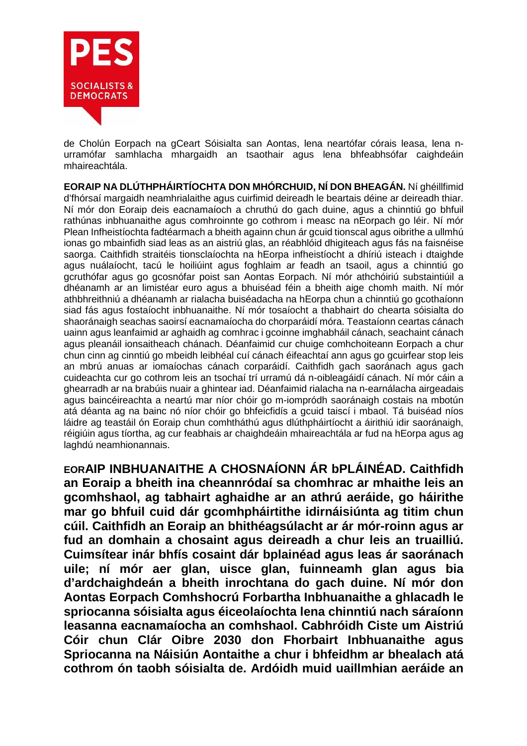

de Cholún Eorpach na gCeart Sóisialta san Aontas, lena neartófar córais leasa, lena nurramófar samhlacha mhargaidh an tsaothair agus lena bhfeabhsófar caighdeáin mhaireachtála.

**EORAIP NA DLÚTHPHÁIRTÍOCHTA DON MHÓRCHUID, NÍ DON BHEAGÁN.** Ní ghéillfimid d'fhórsaí margaidh neamhrialaithe agus cuirfimid deireadh le beartais déine ar deireadh thiar. Ní mór don Eoraip deis eacnamaíoch a chruthú do gach duine, agus a chinntiú go bhfuil rathúnas inbhuanaithe agus comhroinnte go cothrom i measc na nEorpach go léir. Ní mór Plean Infheistíochta fadtéarmach a bheith againn chun ár gcuid tionscal agus oibrithe a ullmhú ionas go mbainfidh siad leas as an aistriú glas, an réabhlóid dhigiteach agus fás na faisnéise saorga. Caithfidh straitéis tionsclaíochta na hEorpa infheistíocht a dhíriú isteach i dtaighde agus nuálaíocht, tacú le hoiliúint agus foghlaim ar feadh an tsaoil, agus a chinntiú go gcruthófar agus go gcosnófar poist san Aontas Eorpach. Ní mór athchóiriú substaintiúil a dhéanamh ar an limistéar euro agus a bhuiséad féin a bheith aige chomh maith. Ní mór athbhreithniú a dhéanamh ar rialacha buiséadacha na hEorpa chun a chinntiú go gcothaíonn siad fás agus fostaíocht inbhuanaithe. Ní mór tosaíocht a thabhairt do chearta sóisialta do shaoránaigh seachas saoirsí eacnamaíocha do chorparáidí móra. Teastaíonn ceartas cánach uainn agus leanfaimid ar aghaidh ag comhrac i gcoinne imghabháil cánach, seachaint cánach agus pleanáil ionsaitheach chánach. Déanfaimid cur chuige comhchoiteann Eorpach a chur chun cinn ag cinntiú go mbeidh leibhéal cuí cánach éifeachtaí ann agus go gcuirfear stop leis an mbrú anuas ar iomaíochas cánach corparáidí. Caithfidh gach saoránach agus gach cuideachta cur go cothrom leis an tsochaí trí urramú dá n-oibleagáidí cánach. Ní mór cáin a ghearradh ar na brabúis nuair a ghintear iad. Déanfaimid rialacha na n-earnálacha airgeadais agus baincéireachta a neartú mar níor chóir go m-iompródh saoránaigh costais na mbotún atá déanta ag na bainc nó níor chóir go bhfeicfidís a gcuid taiscí i mbaol. Tá buiséad níos láidre ag teastáil ón Eoraip chun comhtháthú agus dlúthpháirtíocht a áirithiú idir saoránaigh, réigiúin agus tíortha, ag cur feabhais ar chaighdeáin mhaireachtála ar fud na hEorpa agus ag laghdú neamhionannais.

**EORAIP INBHUANAITHE A CHOSNAÍONN ÁR bPLÁINÉAD. Caithfidh an Eoraip a bheith ina cheannródaí sa chomhrac ar mhaithe leis an gcomhshaol, ag tabhairt aghaidhe ar an athrú aeráide, go háirithe mar go bhfuil cuid dár gcomhpháirtithe idirnáisiúnta ag titim chun cúil. Caithfidh an Eoraip an bhithéagsúlacht ar ár mór-roinn agus ar fud an domhain a chosaint agus deireadh a chur leis an truailliú. Cuimsítear inár bhfís cosaint dár bplainéad agus leas ár saoránach uile; ní mór aer glan, uisce glan, fuinneamh glan agus bia d'ardchaighdeán a bheith inrochtana do gach duine. Ní mór don Aontas Eorpach Comhshocrú Forbartha Inbhuanaithe a ghlacadh le spriocanna sóisialta agus éiceolaíochta lena chinntiú nach sáraíonn leasanna eacnamaíocha an comhshaol. Cabhróidh Ciste um Aistriú Cóir chun Clár Oibre 2030 don Fhorbairt Inbhuanaithe agus Spriocanna na Náisiún Aontaithe a chur i bhfeidhm ar bhealach atá cothrom ón taobh sóisialta de. Ardóidh muid uaillmhian aeráide an**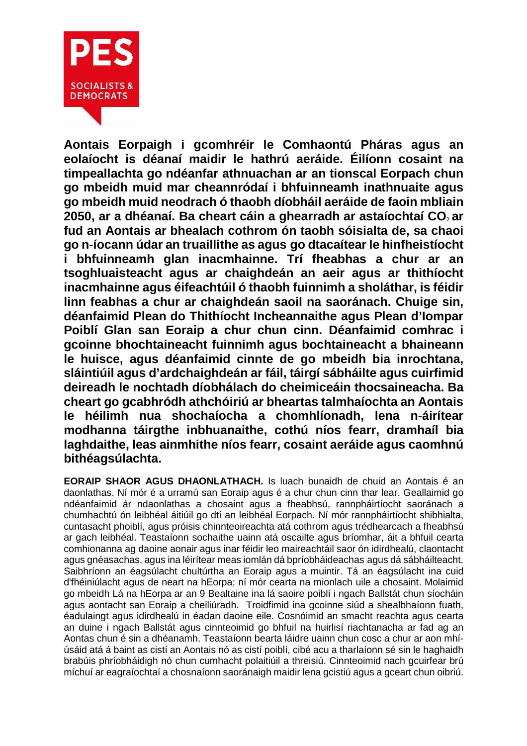

**Aontais Eorpaigh i gcomhréir le Comhaontú Pháras agus an eolaíocht is déanaí maidir le hathrú aeráide. Éilíonn cosaint na timpeallachta go ndéanfar athnuachan ar an tionscal Eorpach chun go mbeidh muid mar cheannródaí i bhfuinneamh inathnuaite agus go mbeidh muid neodrach ó thaobh díobháil aeráide de faoin mbliain 2050, ar a dhéanaí. Ba cheart cáin a ghearradh ar astaíochtaí CO**<sup>2</sup> **ar fud an Aontais ar bhealach cothrom ón taobh sóisialta de, sa chaoi go n-íocann údar an truaillithe as agus go dtacaítear le hinfheistíocht i bhfuinneamh glan inacmhainne. Trí fheabhas a chur ar an tsoghluaisteacht agus ar chaighdeán an aeir agus ar thithíocht inacmhainne agus éifeachtúil ó thaobh fuinnimh a sholáthar, is féidir linn feabhas a chur ar chaighdeán saoil na saoránach. Chuige sin, déanfaimid Plean do Thithíocht Incheannaithe agus Plean d'Iompar Poiblí Glan san Eoraip a chur chun cinn. Déanfaimid comhrac i gcoinne bhochtaineacht fuinnimh agus bochtaineacht a bhaineann le huisce, agus déanfaimid cinnte de go mbeidh bia inrochtana, sláintiúil agus d'ardchaighdeán ar fáil, táirgí sábháilte agus cuirfimid deireadh le nochtadh díobhálach do cheimiceáin thocsaineacha. Ba cheart go gcabhródh athchóiriú ar bheartas talmhaíochta an Aontais le héilimh nua shochaíocha a chomhlíonadh, lena n-áirítear modhanna táirgthe inbhuanaithe, cothú níos fearr, dramhaíl bia laghdaithe, leas ainmhithe níos fearr, cosaint aeráide agus caomhnú bithéagsúlachta.**

**EORAIP SHAOR AGUS DHAONLATHACH.** Is luach bunaidh de chuid an Aontais é an daonlathas. Ní mór é a urramú san Eoraip agus é a chur chun cinn thar lear. Geallaimid go ndéanfaimid ár ndaonlathas a chosaint agus a fheabhsú, rannpháirtíocht saoránach a chumhachtú ón leibhéal áitiúil go dtí an leibhéal Eorpach. Ní mór rannpháirtíocht shibhialta, cuntasacht phoiblí, agus próisis chinnteoireachta atá cothrom agus trédhearcach a fheabhsú ar gach leibhéal. Teastaíonn sochaithe uainn atá oscailte agus bríomhar, áit a bhfuil cearta comhionanna ag daoine aonair agus inar féidir leo maireachtáil saor ón idirdhealú, claontacht agus gnéasachas, agus ina léirítear meas iomlán dá bpríobháideachas agus dá sábháilteacht. Saibhríonn an éagsúlacht chultúrtha an Eoraip agus a muintir. Tá an éagsúlacht ina cuid d'fhéiniúlacht agus de neart na hEorpa; ní mór cearta na mionlach uile a chosaint. Molaimid go mbeidh Lá na hEorpa ar an 9 Bealtaine ina lá saoire poiblí i ngach Ballstát chun síocháin agus aontacht san Eoraip a cheiliúradh. Troidfimid ina gcoinne siúd a shealbhaíonn fuath, éadulaingt agus idirdhealú in éadan daoine eile. Cosnóimid an smacht reachta agus cearta an duine i ngach Ballstát agus cinnteoimid go bhfuil na huirlisí riachtanacha ar fad ag an Aontas chun é sin a dhéanamh. Teastaíonn bearta láidre uainn chun cosc a chur ar aon mhíúsáid atá á baint as cistí an Aontais nó as cistí poiblí, cibé acu a tharlaíonn sé sin le haghaidh brabúis phríobháidigh nó chun cumhacht polaitiúil a threisiú. Cinnteoimid nach gcuirfear brú míchuí ar eagraíochtaí a chosnaíonn saoránaigh maidir lena gcistiú agus a gceart chun oibriú.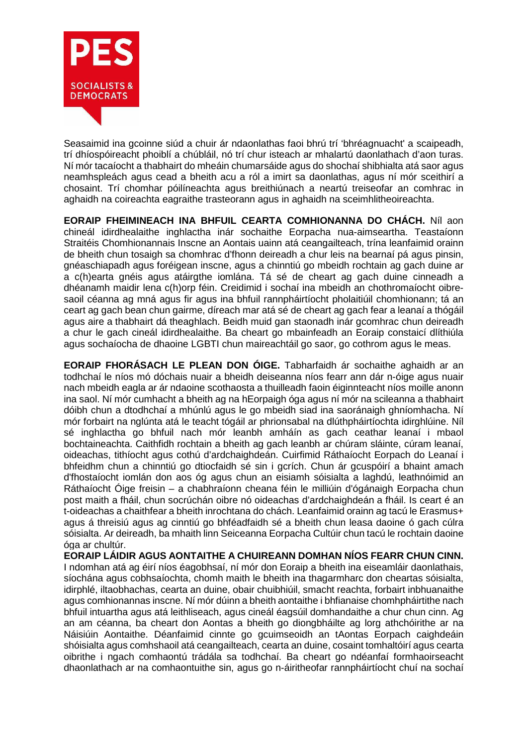

Seasaimid ina gcoinne siúd a chuir ár ndaonlathas faoi bhrú trí 'bhréagnuacht' a scaipeadh, trí dhíospóireacht phoiblí a chúbláil, nó trí chur isteach ar mhalartú daonlathach d'aon turas. Ní mór tacaíocht a thabhairt do mheáin chumarsáide agus do shochaí shibhialta atá saor agus neamhspleách agus cead a bheith acu a ról a imirt sa daonlathas, agus ní mór sceithirí a chosaint. Trí chomhar póilíneachta agus breithiúnach a neartú treiseofar an comhrac in aghaidh na coireachta eagraithe trasteorann agus in aghaidh na sceimhlitheoireachta.

**EORAIP FHEIMINEACH INA BHFUIL CEARTA COMHIONANNA DO CHÁCH.** Níl aon chineál idirdhealaithe inghlactha inár sochaithe Eorpacha nua-aimseartha. Teastaíonn Straitéis Chomhionannais Inscne an Aontais uainn atá ceangailteach, trína leanfaimid orainn de bheith chun tosaigh sa chomhrac d'fhonn deireadh a chur leis na bearnaí pá agus pinsin, gnéaschiapadh agus foréigean inscne, agus a chinntiú go mbeidh rochtain ag gach duine ar a c(h)earta gnéis agus atáirgthe iomlána. Tá sé de cheart ag gach duine cinneadh a dhéanamh maidir lena c(h)orp féin. Creidimid i sochaí ina mbeidh an chothromaíocht oibresaoil céanna ag mná agus fir agus ina bhfuil rannpháirtíocht pholaitiúil chomhionann; tá an ceart ag gach bean chun gairme, díreach mar atá sé de cheart ag gach fear a leanaí a thógáil agus aire a thabhairt dá theaghlach. Beidh muid gan staonadh inár gcomhrac chun deireadh a chur le gach cineál idirdhealaithe. Ba cheart go mbainfeadh an Eoraip constaicí dlíthiúla agus sochaíocha de dhaoine LGBTI chun maireachtáil go saor, go cothrom agus le meas.

**EORAIP FHORÁSACH LE PLEAN DON ÓIGE.** Tabharfaidh ár sochaithe aghaidh ar an todhchaí le níos mó dóchais nuair a bheidh deiseanna níos fearr ann dár n-óige agus nuair nach mbeidh eagla ar ár ndaoine scothaosta a thuilleadh faoin éiginnteacht níos moille anonn ina saol. Ní mór cumhacht a bheith ag na hEorpaigh óga agus ní mór na scileanna a thabhairt dóibh chun a dtodhchaí a mhúnlú agus le go mbeidh siad ina saoránaigh ghníomhacha. Ní mór forbairt na nglúnta atá le teacht tógáil ar phrionsabal na dlúthpháirtíochta idirghlúine. Níl sé inghlactha go bhfuil nach mór leanbh amháín as gach ceathar leanaí i mbaol bochtaineachta. Caithfidh rochtain a bheith ag gach leanbh ar chúram sláinte, cúram leanaí, oideachas, tithíocht agus cothú d'ardchaighdeán. Cuirfimid Ráthaíocht Eorpach do Leanaí i bhfeidhm chun a chinntiú go dtiocfaidh sé sin i gcrích. Chun ár gcuspóirí a bhaint amach d'fhostaíocht iomlán don aos óg agus chun an eisiamh sóisialta a laghdú, leathnóimid an Ráthaíocht Óige freisin – a chabhraíonn cheana féin le milliúin d'ógánaigh Eorpacha chun post maith a fháil, chun socrúchán oibre nó oideachas d'ardchaighdeán a fháil. Is ceart é an t-oideachas a chaithfear a bheith inrochtana do chách. Leanfaimid orainn ag tacú le Erasmus+ agus á threisiú agus ag cinntiú go bhféadfaidh sé a bheith chun leasa daoine ó gach cúlra sóisialta. Ar deireadh, ba mhaith linn Seiceanna Eorpacha Cultúir chun tacú le rochtain daoine óga ar chultúr.

**EORAIP LÁIDIR AGUS AONTAITHE A CHUIREANN DOMHAN NÍOS FEARR CHUN CINN.**  I ndomhan atá ag éirí níos éagobhsaí, ní mór don Eoraip a bheith ina eiseamláir daonlathais, síochána agus cobhsaíochta, chomh maith le bheith ina thagarmharc don cheartas sóisialta, idirphlé, iltaobhachas, cearta an duine, obair chuibhiúil, smacht reachta, forbairt inbhuanaithe agus comhionannas inscne. Ní mór dúinn a bheith aontaithe i bhfianaise chomhpháirtithe nach bhfuil intuartha agus atá leithliseach, agus cineál éagsúil domhandaithe a chur chun cinn. Ag an am céanna, ba cheart don Aontas a bheith go diongbháilte ag lorg athchóirithe ar na Náisiúin Aontaithe. Déanfaimid cinnte go gcuimseoidh an tAontas Eorpach caighdeáin shóisialta agus comhshaoil atá ceangailteach, cearta an duine, cosaint tomhaltóirí agus cearta oibrithe i ngach comhaontú trádála sa todhchaí. Ba cheart go ndéanfaí formhaoirseacht dhaonlathach ar na comhaontuithe sin, agus go n-áiritheofar rannpháirtíocht chuí na sochaí